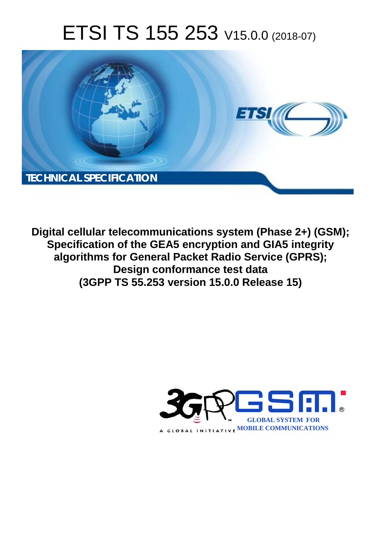# ETSI TS 155 253 V15.0.0 (2018-07)



**Digital cellular telecommunications system (Phase 2+) (GSM); Specification of the GEA5 encryption and GIA5 integrity algorithms for General Packet Radio Service (GPRS); Design conformance test data (3GPP TS 55.253 version 15.0.0 Release 15)** 

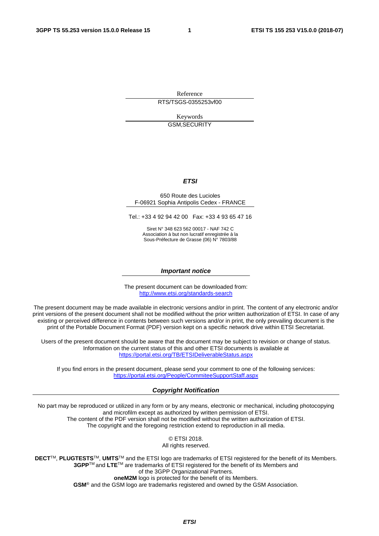Reference RTS/TSGS-0355253vf00

> Keywords GSM,SECURITY

#### *ETSI*

#### 650 Route des Lucioles F-06921 Sophia Antipolis Cedex - FRANCE

Tel.: +33 4 92 94 42 00 Fax: +33 4 93 65 47 16

Siret N° 348 623 562 00017 - NAF 742 C Association à but non lucratif enregistrée à la Sous-Préfecture de Grasse (06) N° 7803/88

#### *Important notice*

The present document can be downloaded from: <http://www.etsi.org/standards-search>

The present document may be made available in electronic versions and/or in print. The content of any electronic and/or print versions of the present document shall not be modified without the prior written authorization of ETSI. In case of any existing or perceived difference in contents between such versions and/or in print, the only prevailing document is the print of the Portable Document Format (PDF) version kept on a specific network drive within ETSI Secretariat.

Users of the present document should be aware that the document may be subject to revision or change of status. Information on the current status of this and other ETSI documents is available at <https://portal.etsi.org/TB/ETSIDeliverableStatus.aspx>

If you find errors in the present document, please send your comment to one of the following services: <https://portal.etsi.org/People/CommiteeSupportStaff.aspx>

#### *Copyright Notification*

No part may be reproduced or utilized in any form or by any means, electronic or mechanical, including photocopying and microfilm except as authorized by written permission of ETSI. The content of the PDF version shall not be modified without the written authorization of ETSI. The copyright and the foregoing restriction extend to reproduction in all media.

> © ETSI 2018. All rights reserved.

**DECT**TM, **PLUGTESTS**TM, **UMTS**TM and the ETSI logo are trademarks of ETSI registered for the benefit of its Members. **3GPP**TM and **LTE**TM are trademarks of ETSI registered for the benefit of its Members and of the 3GPP Organizational Partners. **oneM2M** logo is protected for the benefit of its Members.

**GSM**® and the GSM logo are trademarks registered and owned by the GSM Association.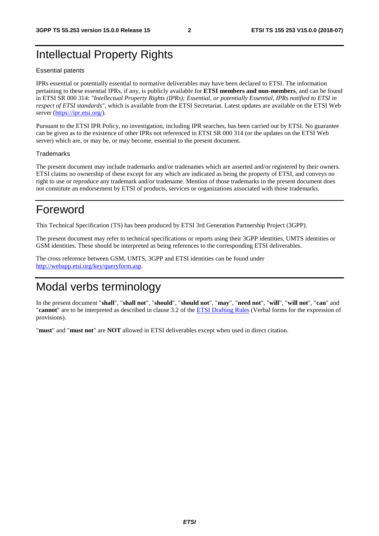## Intellectual Property Rights

#### Essential patents

IPRs essential or potentially essential to normative deliverables may have been declared to ETSI. The information pertaining to these essential IPRs, if any, is publicly available for **ETSI members and non-members**, and can be found in ETSI SR 000 314: *"Intellectual Property Rights (IPRs); Essential, or potentially Essential, IPRs notified to ETSI in respect of ETSI standards"*, which is available from the ETSI Secretariat. Latest updates are available on the ETSI Web server ([https://ipr.etsi.org/\)](https://ipr.etsi.org/).

Pursuant to the ETSI IPR Policy, no investigation, including IPR searches, has been carried out by ETSI. No guarantee can be given as to the existence of other IPRs not referenced in ETSI SR 000 314 (or the updates on the ETSI Web server) which are, or may be, or may become, essential to the present document.

#### **Trademarks**

The present document may include trademarks and/or tradenames which are asserted and/or registered by their owners. ETSI claims no ownership of these except for any which are indicated as being the property of ETSI, and conveys no right to use or reproduce any trademark and/or tradename. Mention of those trademarks in the present document does not constitute an endorsement by ETSI of products, services or organizations associated with those trademarks.

## Foreword

This Technical Specification (TS) has been produced by ETSI 3rd Generation Partnership Project (3GPP).

The present document may refer to technical specifications or reports using their 3GPP identities, UMTS identities or GSM identities. These should be interpreted as being references to the corresponding ETSI deliverables.

The cross reference between GSM, UMTS, 3GPP and ETSI identities can be found under [http://webapp.etsi.org/key/queryform.asp.](http://webapp.etsi.org/key/queryform.asp)

## Modal verbs terminology

In the present document "**shall**", "**shall not**", "**should**", "**should not**", "**may**", "**need not**", "**will**", "**will not**", "**can**" and "**cannot**" are to be interpreted as described in clause 3.2 of the [ETSI Drafting Rules](https://portal.etsi.org/Services/editHelp!/Howtostart/ETSIDraftingRules.aspx) (Verbal forms for the expression of provisions).

"**must**" and "**must not**" are **NOT** allowed in ETSI deliverables except when used in direct citation.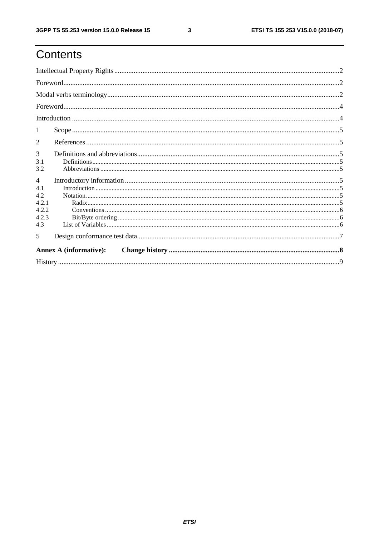# Contents

| 1                             |  |  |  |  |  |
|-------------------------------|--|--|--|--|--|
| 2                             |  |  |  |  |  |
| 3                             |  |  |  |  |  |
| 3.1<br>3.2                    |  |  |  |  |  |
| $\overline{4}$                |  |  |  |  |  |
| 4.1                           |  |  |  |  |  |
| 4.2                           |  |  |  |  |  |
| 4.2.1                         |  |  |  |  |  |
| 4.2.2                         |  |  |  |  |  |
| 4.2.3                         |  |  |  |  |  |
| 4.3                           |  |  |  |  |  |
| 5                             |  |  |  |  |  |
| <b>Annex A (informative):</b> |  |  |  |  |  |
|                               |  |  |  |  |  |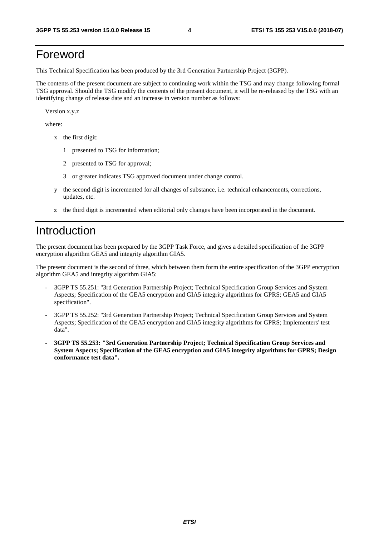# Foreword

This Technical Specification has been produced by the 3rd Generation Partnership Project (3GPP).

The contents of the present document are subject to continuing work within the TSG and may change following formal TSG approval. Should the TSG modify the contents of the present document, it will be re-released by the TSG with an identifying change of release date and an increase in version number as follows:

Version x.y.z

where:

- x the first digit:
	- 1 presented to TSG for information;
	- 2 presented to TSG for approval;
	- 3 or greater indicates TSG approved document under change control.
- y the second digit is incremented for all changes of substance, i.e. technical enhancements, corrections, updates, etc.
- z the third digit is incremented when editorial only changes have been incorporated in the document.

### Introduction

The present document has been prepared by the 3GPP Task Force, and gives a detailed specification of the 3GPP encryption algorithm GEA5 and integrity algorithm GIA5.

The present document is the second of three, which between them form the entire specification of the 3GPP encryption algorithm GEA5 and integrity algorithm GIA5:

- 3GPP TS 55.251: "3rd Generation Partnership Project; Technical Specification Group Services and System Aspects; Specification of the GEA5 encryption and GIA5 integrity algorithms for GPRS; GEA5 and GIA5 specification".
- 3GPP TS 55.252: "3rd Generation Partnership Project; Technical Specification Group Services and System Aspects; Specification of the GEA5 encryption and GIA5 integrity algorithms for GPRS; Implementers' test data".
- **3GPP TS 55.253: "3rd Generation Partnership Project; Technical Specification Group Services and System Aspects; Specification of the GEA5 encryption and GIA5 integrity algorithms for GPRS; Design conformance test data".**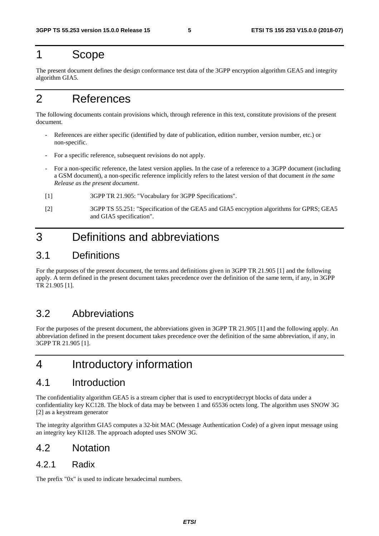## 1 Scope

The present document defines the design conformance test data of the 3GPP encryption algorithm GEA5 and integrity algorithm GIA5.

# 2 References

The following documents contain provisions which, through reference in this text, constitute provisions of the present document.

- References are either specific (identified by date of publication, edition number, version number, etc.) or non-specific.
- For a specific reference, subsequent revisions do not apply.
- For a non-specific reference, the latest version applies. In the case of a reference to a 3GPP document (including a GSM document), a non-specific reference implicitly refers to the latest version of that document *in the same Release as the present document*.
- [1] 3GPP TR 21.905: "Vocabulary for 3GPP Specifications".
- [2] 3GPP TS 55.251: "Specification of the GEA5 and GIA5 encryption algorithms for GPRS; GEA5 and GIA5 specification".

# 3 Definitions and abbreviations

#### 3.1 Definitions

For the purposes of the present document, the terms and definitions given in 3GPP TR 21.905 [1] and the following apply. A term defined in the present document takes precedence over the definition of the same term, if any, in 3GPP TR 21.905 [1].

### 3.2 Abbreviations

For the purposes of the present document, the abbreviations given in 3GPP TR 21.905 [1] and the following apply. An abbreviation defined in the present document takes precedence over the definition of the same abbreviation, if any, in 3GPP TR 21.905 [1].

## 4 Introductory information

#### 4.1 Introduction

The confidentiality algorithm GEA5 is a stream cipher that is used to encrypt/decrypt blocks of data under a confidentiality key KC128. The block of data may be between 1 and 65536 octets long. The algorithm uses SNOW 3G [2] as a keystream generator

The integrity algorithm GIA5 computes a 32-bit MAC (Message Authentication Code) of a given input message using an integrity key KI128. The approach adopted uses SNOW 3G.

#### 4.2 Notation

#### 4.2.1 Radix

The prefix "0x" is used to indicate hexadecimal numbers.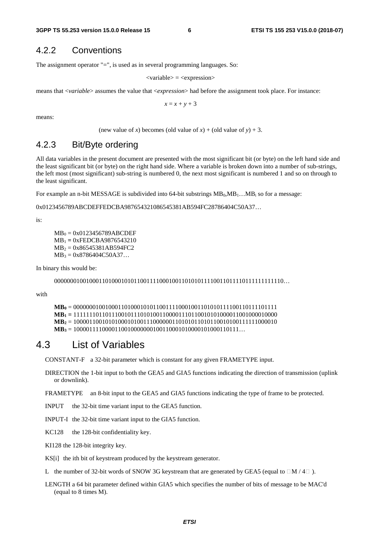#### 4.2.2 Conventions

The assignment operator "=", is used as in several programming languages. So:

 $\langle$ variable $\rangle$  =  $\langle$ expression $\rangle$ 

means that <*variable*> assumes the value that <*expression*> had before the assignment took place. For instance:

 $x = x + y + 3$ 

means:

(new value of *x*) becomes (old value of *x*) + (old value of  $y$ ) + 3.

#### 4.2.3 Bit/Byte ordering

All data variables in the present document are presented with the most significant bit (or byte) on the left hand side and the least significant bit (or byte) on the right hand side. Where a variable is broken down into a number of sub-strings, the left most (most significant) sub-string is numbered 0, the next most significant is numbered 1 and so on through to the least significant.

For example an n-bit MESSAGE is subdivided into 64-bit substrings  $MB_0, MB_1...MB_i$  so for a message:

0x0123456789ABCDEFFEDCBA987654321086545381AB594FC28786404C50A37…

is:

 $MB_0 = 0x0123456789ABCDEF$ MB1 **=** 0xFEDCBA9876543210  $MB_2 = 0x86545381AB594FC2$  $MB_3 = 0x8786404C50A37...$ 

In binary this would be:

000000010010001101000101011001111000100110101011110011011110111111111110…

with

```
MB0 = 0000000100100011010001010110011110001001101010111100110111101111 
MB1 = 1111111011011100101110101001100001110110010101000011001000010000 
MB2 = 1000011001010100010100111000000110101011010110010100111111000010 
MB3 = 1000011110000110010000000100110001010000101000110111…
```
#### 4.3 List of Variables

CONSTANT-F a 32-bit parameter which is constant for any given FRAMETYPE input.

- DIRECTION the 1-bit input to both the GEA5 and GIA5 functions indicating the direction of transmission (uplink or downlink).
- FRAMETYPE an 8-bit input to the GEA5 and GIA5 functions indicating the type of frame to be protected.
- INPUT the 32-bit time variant input to the GEA5 function.
- INPUT-I the 32-bit time variant input to the GIA5 function.
- KC128 the 128-bit confidentiality key.
- KI128 the 128-bit integrity key.

KS[i] the ith bit of keystream produced by the keystream generator.

L the number of 32-bit words of SNOW 3G keystream that are generated by GEA5 (equal to  $\Box M / 4 \Box$ ).

LENGTH a 64 bit parameter defined within GIA5 which specifies the number of bits of message to be MAC'd (equal to 8 times M).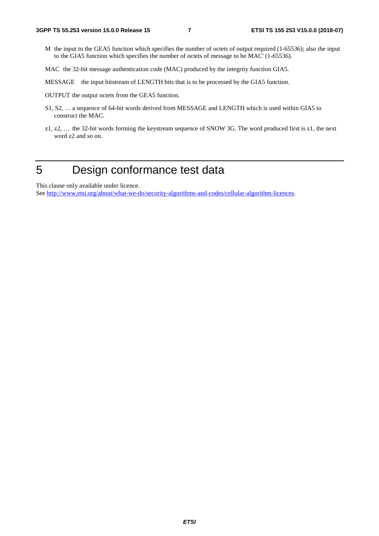M the input to the GEA5 function which specifies the number of octets of output required (1-65536); also the input to the GIA5 function which specifies the number of octets of message to be MAC' (1-65536).

MAC the 32-bit message authentication code (MAC) produced by the integrity function GIA5.

MESSAGE the input bitstream of LENGTH bits that is to be processed by the GIA5 function.

OUTPUT the output octets from the GEA5 function.

- S1, S2, … a sequence of 64-bit words derived from MESSAGE and LENGTH which is used within GIA5 to construct the MAC.
- z1, z2, … the 32-bit words forming the keystream sequence of SNOW 3G. The word produced first is z1, the next word z2 and so on.

# 5 Design conformance test data

This clause only available under licence.

See [http://www.etsi.org/about/what-we-do/security-algorithms-and-codes/cellular-algorithm-licences.](http://www.etsi.org/about/what-we-do/security-algorithms-and-codes/cellular-algorithm-licences)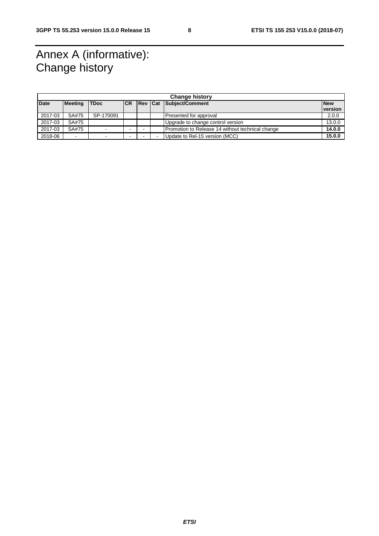# Annex A (informative): Change history

| <b>Change history</b> |                          |             |      |  |  |                                                  |  |            |  |
|-----------------------|--------------------------|-------------|------|--|--|--------------------------------------------------|--|------------|--|
| <b>Date</b>           | Meeting                  | <b>TDoc</b> | ICR. |  |  | <b>Rev Cat Subject/Comment</b>                   |  | <b>New</b> |  |
|                       |                          |             |      |  |  |                                                  |  | version    |  |
| 2017-03               | SA#75                    | SP-170091   |      |  |  | Presented for approval                           |  | 2.0.0      |  |
| 2017-03               | SA#75                    |             |      |  |  | Upgrade to change control version                |  | 13.0.0     |  |
| 2017-03               | SA#75                    |             |      |  |  | Promotion to Release 14 without technical change |  | 14.0.0     |  |
| 2018-06               | $\overline{\phantom{0}}$ | -           |      |  |  | Update to Rel-15 version (MCC)                   |  | 15.0.0     |  |